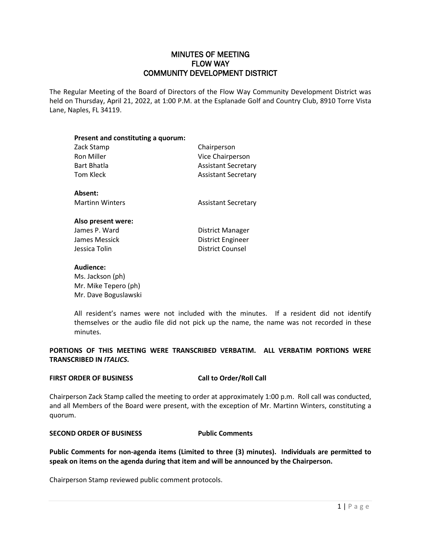# MINUTES OF MEETING FLOW WAY COMMUNITY DEVELOPMENT DISTRICT

The Regular Meeting of the Board of Directors of the Flow Way Community Development District was held on Thursday, April 21, 2022, at 1:00 P.M. at the Esplanade Golf and Country Club, 8910 Torre Vista Lane, Naples, FL 34119.

| Present and constituting a quorum: |                            |
|------------------------------------|----------------------------|
| Zack Stamp                         | Chairperson                |
| Ron Miller                         | <b>Vice Chairperson</b>    |
| <b>Bart Bhatla</b>                 | <b>Assistant Secretary</b> |
| Tom Kleck                          | <b>Assistant Secretary</b> |
| Absent:                            |                            |
| <b>Martinn Winters</b>             | <b>Assistant Secretary</b> |
| Also present were:                 |                            |
| James P. Ward                      | District Manager           |
| James Messick                      | District Engineer          |
| Jessica Tolin                      | <b>District Counsel</b>    |

### **Audience:**

Ms. Jackson (ph) Mr. Mike Tepero (ph) Mr. Dave Boguslawski

All resident's names were not included with the minutes. If a resident did not identify themselves or the audio file did not pick up the name, the name was not recorded in these minutes.

**PORTIONS OF THIS MEETING WERE TRANSCRIBED VERBATIM. ALL VERBATIM PORTIONS WERE TRANSCRIBED IN** *ITALICS***.**

## **FIRST ORDER OF BUSINESS Call to Order/Roll Call**

Chairperson Zack Stamp called the meeting to order at approximately 1:00 p.m. Roll call was conducted, and all Members of the Board were present, with the exception of Mr. Martinn Winters, constituting a quorum.

## **SECOND ORDER OF BUSINESS Public Comments**

**Public Comments for non-agenda items (Limited to three (3) minutes). Individuals are permitted to speak on items on the agenda during that item and will be announced by the Chairperson.**

Chairperson Stamp reviewed public comment protocols.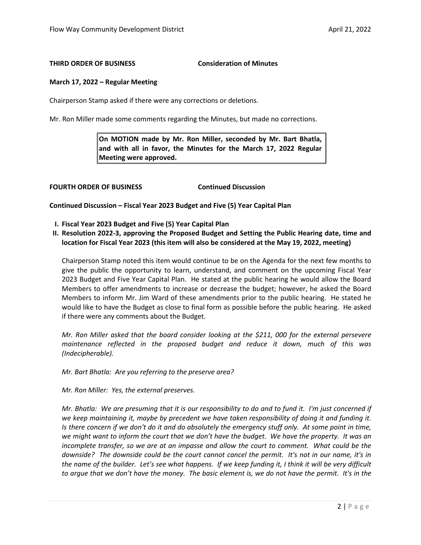## **THIRD ORDER OF BUSINESS Consideration of Minutes**

## **March 17, 2022 – Regular Meeting**

Chairperson Stamp asked if there were any corrections or deletions.

Mr. Ron Miller made some comments regarding the Minutes, but made no corrections.

**On MOTION made by Mr. Ron Miller, seconded by Mr. Bart Bhatla, and with all in favor, the Minutes for the March 17, 2022 Regular Meeting were approved.** 

**FOURTH ORDER OF BUSINESS Continued Discussion**

**Continued Discussion – Fiscal Year 2023 Budget and Five (5) Year Capital Plan**

- **I. Fiscal Year 2023 Budget and Five (5) Year Capital Plan**
- **II. Resolution 2022-3, approving the Proposed Budget and Setting the Public Hearing date, time and location for Fiscal Year 2023 (this item will also be considered at the May 19, 2022, meeting)**

Chairperson Stamp noted this item would continue to be on the Agenda for the next few months to give the public the opportunity to learn, understand, and comment on the upcoming Fiscal Year 2023 Budget and Five Year Capital Plan. He stated at the public hearing he would allow the Board Members to offer amendments to increase or decrease the budget; however, he asked the Board Members to inform Mr. Jim Ward of these amendments prior to the public hearing. He stated he would like to have the Budget as close to final form as possible before the public hearing. He asked if there were any comments about the Budget.

*Mr. Ron Miller asked that the board consider looking at the \$211, 000 for the external persevere maintenance reflected in the proposed budget and reduce it down, much of this was (Indecipherable).* 

*Mr. Bart Bhatla: Are you referring to the preserve area?* 

*Mr. Ron Miller: Yes, the external preserves.*

*Mr. Bhatla: We are presuming that it is our responsibility to do and to fund it. I'm just concerned if we keep maintaining it, maybe by precedent we have taken responsibility of doing it and funding it. Is there concern if we don't do it and do absolutely the emergency stuff only. At some point in time, we might want to inform the court that we don't have the budget. We have the property. It was an incomplete transfer, so we are at an impasse and allow the court to comment. What could be the downside? The downside could be the court cannot cancel the permit. It's not in our name, it's in the name of the builder. Let's see what happens. If we keep funding it, I think it will be very difficult to argue that we don't have the money. The basic element is, we do not have the permit. It's in the*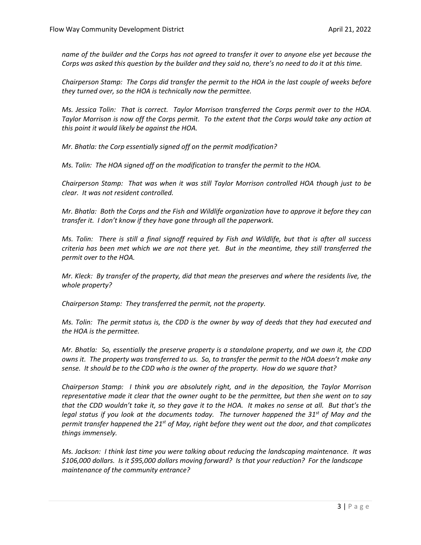*name of the builder and the Corps has not agreed to transfer it over to anyone else yet because the Corps was asked this question by the builder and they said no, there's no need to do it at this time.* 

*Chairperson Stamp: The Corps did transfer the permit to the HOA in the last couple of weeks before they turned over, so the HOA is technically now the permittee.*

*Ms. Jessica Tolin: That is correct. Taylor Morrison transferred the Corps permit over to the HOA. Taylor Morrison is now off the Corps permit. To the extent that the Corps would take any action at this point it would likely be against the HOA.*

*Mr. Bhatla: the Corp essentially signed off on the permit modification?*

*Ms. Tolin: The HOA signed off on the modification to transfer the permit to the HOA.* 

*Chairperson Stamp: That was when it was still Taylor Morrison controlled HOA though just to be clear. It was not resident controlled.*

*Mr. Bhatla: Both the Corps and the Fish and Wildlife organization have to approve it before they can transfer it. I don't know if they have gone through all the paperwork.* 

*Ms. Tolin: There is still a final signoff required by Fish and Wildlife, but that is after all success criteria has been met which we are not there yet. But in the meantime, they still transferred the permit over to the HOA.* 

*Mr. Kleck: By transfer of the property, did that mean the preserves and where the residents live, the whole property?*

*Chairperson Stamp: They transferred the permit, not the property.* 

*Ms. Tolin: The permit status is, the CDD is the owner by way of deeds that they had executed and the HOA is the permittee.* 

*Mr. Bhatla: So, essentially the preserve property is a standalone property, and we own it, the CDD owns it. The property was transferred to us. So, to transfer the permit to the HOA doesn't make any sense. It should be to the CDD who is the owner of the property. How do we square that?*

*Chairperson Stamp: I think you are absolutely right, and in the deposition, the Taylor Morrison representative made it clear that the owner ought to be the permittee, but then she went on to say that the CDD wouldn't take it, so they gave it to the HOA. It makes no sense at all. But that's the legal status if you look at the documents today. The turnover happened the 31st of May and the permit transfer happened the 21st of May, right before they went out the door, and that complicates things immensely.* 

*Ms. Jackson: I think last time you were talking about reducing the landscaping maintenance. It was \$106,000 dollars. Is it \$95,000 dollars moving forward? Is that your reduction? For the landscape maintenance of the community entrance?*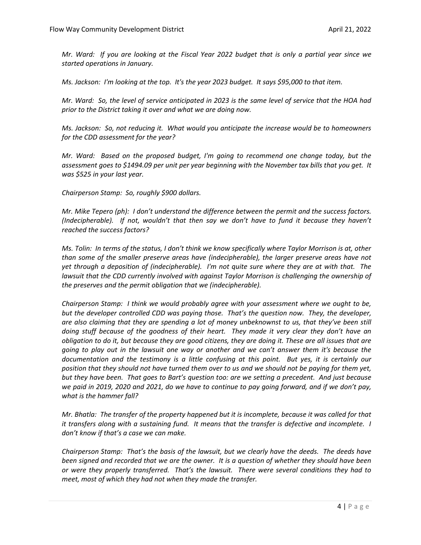*Mr. Ward: If you are looking at the Fiscal Year 2022 budget that is only a partial year since we started operations in January.*

*Ms. Jackson: I'm looking at the top. It's the year 2023 budget. It says \$95,000 to that item.*

*Mr. Ward: So, the level of service anticipated in 2023 is the same level of service that the HOA had prior to the District taking it over and what we are doing now.*

*Ms. Jackson: So, not reducing it. What would you anticipate the increase would be to homeowners for the CDD assessment for the year?* 

*Mr. Ward: Based on the proposed budget, I'm going to recommend one change today, but the assessment goes to \$1494.09 per unit per year beginning with the November tax bills that you get. It was \$525 in your last year.*

*Chairperson Stamp: So, roughly \$900 dollars.*

*Mr. Mike Tepero (ph): I don't understand the difference between the permit and the success factors. (Indecipherable). If not, wouldn't that then say we don't have to fund it because they haven't reached the success factors?*

*Ms. Tolin: In terms of the status, I don't think we know specifically where Taylor Morrison is at, other than some of the smaller preserve areas have (indecipherable), the larger preserve areas have not yet through a deposition of (indecipherable). I'm not quite sure where they are at with that. The*  lawsuit *that the CDD currently involved with against Taylor Morrison is challenging the ownership of the preserves and the permit obligation that we (indecipherable).* 

*Chairperson Stamp: I think we would probably agree with your assessment where we ought to be, but the developer controlled CDD was paying those. That's the question now. They, the developer, are also claiming that they are spending a lot of money unbeknownst to us, that they've been still doing stuff because of the goodness of their heart. They made it very clear they don't have an obligation to do it, but because they are good citizens, they are doing it. These are all issues that are going to play out in the lawsuit one way or another and we can't answer them it's because the documentation and the testimony is a little confusing at this point. But yes, it is certainly our position that they should not have turned them over to us and we should not be paying for them yet, but they have been. That goes to Bart's question too: are we setting a precedent. And just because we paid in 2019, 2020 and 2021, do we have to continue to pay going forward, and if we don't pay, what is the hammer fall?* 

*Mr. Bhatla: The transfer of the property happened but it is incomplete, because it was called for that it transfers along with a sustaining fund. It means that the transfer is defective and incomplete. I don't know if that's a case we can make.* 

*Chairperson Stamp: That's the basis of the lawsuit, but we clearly have the deeds. The deeds have been signed and recorded that we are the owner. It is a question of whether they should have been or were they properly transferred. That's the lawsuit. There were several conditions they had to meet, most of which they had not when they made the transfer.*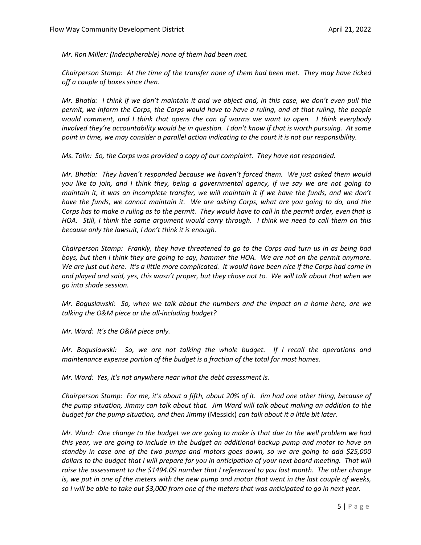*Mr. Ron Miller: (Indecipherable) none of them had been met.*

*Chairperson Stamp: At the time of the transfer none of them had been met. They may have ticked off a couple of boxes since then.* 

*Mr. Bhatla: I think if we don't maintain it and we object and, in this case, we don't even pull the permit, we inform the Corps, the Corps would have to have a ruling, and at that ruling, the people would comment, and I think that opens the can of worms we want to open. I think everybody involved they're accountability would be in question. I don't know if that is worth pursuing. At some point in time, we may consider a parallel action indicating to the court it is not our responsibility.* 

*Ms. Tolin: So, the Corps was provided a copy of our complaint. They have not responded.* 

*Mr. Bhatla: They haven't responded because we haven't forced them. We just asked them would you like to join, and I think they, being a governmental agency, If we say we are not going to maintain it, it was an incomplete transfer, we will maintain it if we have the funds, and we don't have the funds, we cannot maintain it. We are asking Corps, what are you going to do, and the Corps has to make a ruling as to the permit. They would have to call in the permit order, even that is HOA. Still, I think the same argument would carry through. I think we need to call them on this because only the lawsuit, I don't think it is enough.* 

*Chairperson Stamp: Frankly, they have threatened to go to the Corps and turn us in as being bad boys, but then I think they are going to say, hammer the HOA. We are not on the permit anymore. We are just out here. It's a little more complicated. It would have been nice if the Corps had come in and played and said, yes, this wasn't proper, but they chose not to. We will talk about that when we go into shade session.*

*Mr. Boguslawski: So, when we talk about the numbers and the impact on a home here, are we talking the O&M piece or the all-including budget?*

*Mr. Ward: It's the O&M piece only.*

*Mr. Boguslawski: So, we are not talking the whole budget. If I recall the operations and maintenance expense portion of the budget is a fraction of the total for most homes.*

*Mr. Ward: Yes, it's not anywhere near what the debt assessment is.*

*Chairperson Stamp: For me, it's about a fifth, about 20% of it. Jim had one other thing, because of the pump situation, Jimmy can talk about that. Jim Ward will talk about making an addition to the budget for the pump situation, and then Jimmy* (Messick) *can talk about it a little bit later.*

*Mr. Ward: One change to the budget we are going to make is that due to the well problem we had this year, we are going to include in the budget an additional backup pump and motor to have on standby in case one of the two pumps and motors goes down, so we are going to add \$25,000 dollars to the budget that I will prepare for you in anticipation of your next board meeting. That will*  raise the assessment to the \$1494.09 number that *I referenced to you last month. The other change is, we put in one of the meters with the new pump and motor that went in the last couple of weeks, so I will be able to take out \$3,000 from one of the meters that was anticipated to go in next year.*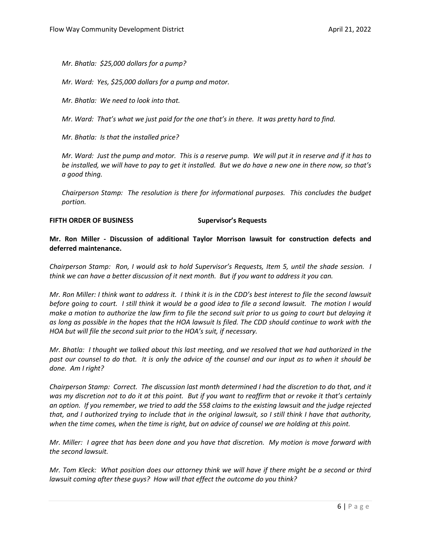*Mr. Bhatla: \$25,000 dollars for a pump?*

*Mr. Ward: Yes, \$25,000 dollars for a pump and motor.* 

*Mr. Bhatla: We need to look into that.* 

*Mr. Ward: That's what we just paid for the one that's in there. It was pretty hard to find.* 

*Mr. Bhatla: Is that the installed price?*

*Mr. Ward: Just the pump and motor. This is a reserve pump. We will put it in reserve and if it has to be installed, we will have to pay to get it installed. But we do have a new one in there now, so that's a good thing.* 

*Chairperson Stamp: The resolution is there for informational purposes. This concludes the budget portion.* 

### **FIFTH ORDER OF BUSINESS Supervisor's Requests**

## **Mr. Ron Miller - Discussion of additional Taylor Morrison lawsuit for construction defects and deferred maintenance.**

*Chairperson Stamp: Ron, I would ask to hold Supervisor's Requests, Item 5, until the shade session. I think we can have a better discussion of it next month. But if you want to address it you can.* 

*Mr. Ron Miller: I think want to address it. I think it is in the CDD's best interest to file the second lawsuit before going to court. I still think it would be a good idea to file a second lawsuit. The motion I would make a motion to authorize the law firm to file the second suit prior to us going to court but delaying it as long as possible in the hopes that the HOA lawsuit Is filed. The CDD should continue to work with the HOA but will file the second suit prior to the HOA's suit, if necessary.*

*Mr. Bhatla: I thought we talked about this last meeting, and we resolved that we had authorized in the past our counsel to do that. It is only the advice of the counsel and our input as to when it should be done. Am I right?*

*Chairperson Stamp: Correct. The discussion last month determined I had the discretion to do that, and it was my discretion not to do it at this point. But if you want to reaffirm that or revoke it that's certainly an option. If you remember, we tried to add the 558 claims to the existing lawsuit and the judge rejected that, and I authorized trying to include that in the original lawsuit, so I still think I have that authority, when the time comes, when the time is right, but on advice of counsel we are holding at this point.* 

*Mr. Miller: I agree that has been done and you have that discretion. My motion is move forward with the second lawsuit.* 

*Mr. Tom Kleck: What position does our attorney think we will have if there might be a second or third lawsuit coming after these guys? How will that effect the outcome do you think?*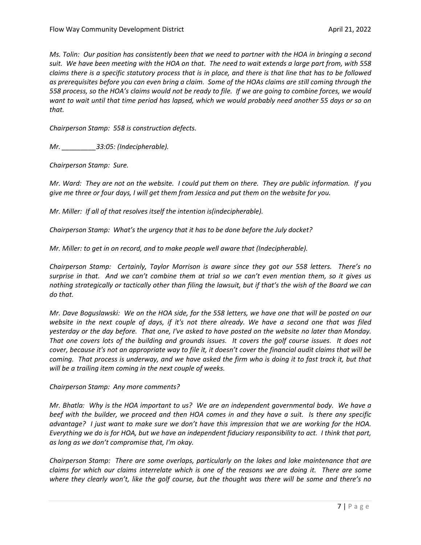*Ms. Tolin: Our position has consistently been that we need to partner with the HOA in bringing a second suit. We have been meeting with the HOA on that. The need to wait extends a large part from, with 558 claims there is a specific statutory process that is in place, and there is that line that has to be followed as prerequisites before you can even bring a claim. Some of the HOAs claims are still coming through the 558 process, so the HOA's claims would not be ready to file. If we are going to combine forces, we would want to wait until that time period has lapsed, which we would probably need another 55 days or so on that.* 

*Chairperson Stamp: 558 is construction defects.*

*Mr. \_\_\_\_\_\_\_\_\_33:05: (Indecipherable).*

*Chairperson Stamp: Sure.*

*Mr. Ward: They are not on the website. I could put them on there. They are public information. If you give me three or four days, I will get them from Jessica and put them on the website for you.* 

*Mr. Miller: If all of that resolves itself the intention is(indecipherable).* 

*Chairperson Stamp: What's the urgency that it has to be done before the July docket?*

*Mr. Miller: to get in on record, and to make people well aware that (Indecipherable).*

*Chairperson Stamp: Certainly, Taylor Morrison is aware since they got our 558 letters. There's no surprise in that. And we can't combine them at trial so we can't even mention them, so it gives us nothing strategically or tactically other than filing the lawsuit, but if that's the wish of the Board we can do that.* 

*Mr. Dave Boguslawski: We on the HOA side, for the 558 letters, we have one that will be posted on our website in the next couple of days, if it's not there already. We have a second one that was filed yesterday or the day before. That one, I've asked to have posted on the website no later than Monday. That one covers lots of the building and grounds issues. It covers the golf course issues. It does not cover, because it's not an appropriate way to file it, it doesn't cover the financial audit claims that will be coming. That process is underway, and we have asked the firm who is doing it to fast track it, but that will be a trailing item coming in the next couple of weeks.* 

*Chairperson Stamp: Any more comments?* 

*Mr. Bhatla: Why is the HOA important to us? We are an independent governmental body. We have a beef with the builder, we proceed and then HOA comes in and they have a suit. Is there any specific advantage? I just want to make sure we don't have this impression that we are working for the HOA. Everything we do is for HOA, but we have an independent fiduciary responsibility to act. I think that part, as long as we don't compromise that, I'm okay.* 

*Chairperson Stamp: There are some overlaps, particularly on the lakes and lake maintenance that are claims for which our claims interrelate which is one of the reasons we are doing it. There are some where they clearly won't, like the golf course, but the thought was there will be some and there's no*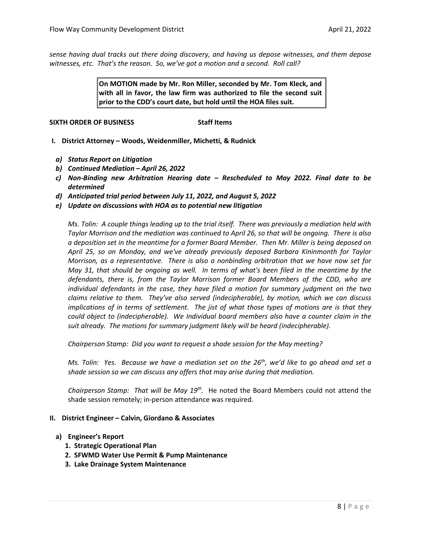*sense having dual tracks out there doing discovery, and having us depose witnesses, and them depose witnesses, etc. That's the reason. So, we've got a motion and a second. Roll call?*

> **On MOTION made by Mr. Ron Miller, seconded by Mr. Tom Kleck, and with all in favor, the law firm was authorized to file the second suit prior to the CDD's court date, but hold until the HOA files suit.**

## **SIXTH ORDER OF BUSINESS** SIXTH ORDER OF BUSINESS

- **I. District Attorney Woods, Weidenmiller, Michetti, & Rudnick**
	- *a) Status Report on Litigation*
	- *b) Continued Mediation April 26, 2022*
	- *c) Non-Binding new Arbitration Hearing date Rescheduled to May 2022. Final date to be determined*
	- *d) Anticipated trial period between July 11, 2022, and August 5, 2022*
	- *e) Update on discussions with HOA as to potential new litigation*

*Ms. Tolin: A couple things leading up to the trial itself. There was previously a mediation held with Taylor Morrison and the mediation was continued to April 26, so that will be ongoing. There is also a deposition set in the meantime for a former Board Member. Then Mr. Miller is being deposed on April 25, so on Monday, and we've already previously deposed Barbara Kininmonth for Taylor Morrison, as a representative. There is also a nonbinding arbitration that we have now set for May 31, that should be ongoing as well. In terms of what's been filed in the meantime by the defendants, there is, from the Taylor Morrison former Board Members of the CDD, who are individual defendants in the case, they have filed a motion for summary judgment on the two claims relative to them. They've also served (indecipherable), by motion, which we can discuss implications of in terms of settlement. The jist of what those types of motions are is that they could object to (indecipherable). We Individual board members also have a counter claim in the suit already. The motions for summary judgment likely will be heard (indecipherable).* 

*Chairperson Stamp: Did you want to request a shade session for the May meeting?*

*Ms. Tolin: Yes. Because we have a mediation set on the 26<sup>th</sup>, we'd like to go ahead and set a shade session so we can discuss any offers that may arise during that mediation.* 

*Chairperson Stamp: That will be May 19th.* He noted the Board Members could not attend the shade session remotely; in-person attendance was required*.* 

### **II. District Engineer – Calvin, Giordano & Associates**

- **a) Engineer's Report**
	- **1. Strategic Operational Plan**
	- **2. SFWMD Water Use Permit & Pump Maintenance**
	- **3. Lake Drainage System Maintenance**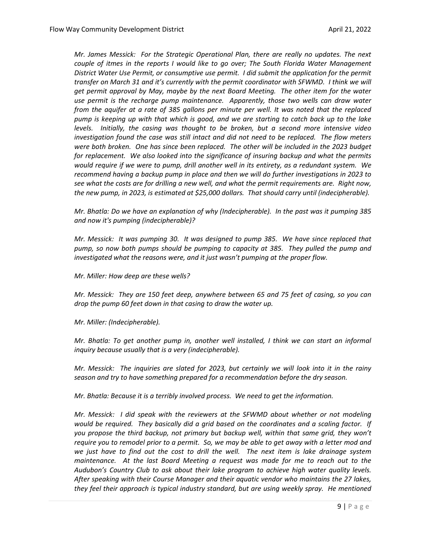*Mr. James Messick: For the Strategic Operational Plan, there are really no updates. The next couple of itmes in the reports I would like to go over; The South Florida Water Management District Water Use Permit, or consumptive use permit. I did submit the application for the permit transfer on March 31 and it's currently with the permit coordinator with SFWMD. I think we will get permit approval by May, maybe by the next Board Meeting. The other item for the water use permit is the recharge pump maintenance. Apparently, those two wells can draw water from the aquifer at a rate of 385 gallons per minute per well. It was noted that the replaced pump is keeping up with that which is good, and we are starting to catch back up to the lake levels. Initially, the casing was thought to be broken, but a second more intensive video investigation found the case was still intact and did not need to be replaced. The flow meters were both broken. One has since been replaced. The other will be included in the 2023 budget for replacement. We also looked into the significance of insuring backup and what the permits would require if we were to pump, drill another well in its entirety, as a redundant system. We recommend having a backup pump in place and then we will do further investigations in 2023 to see what the costs are for drilling a new well, and what the permit requirements are. Right now, the new pump, in 2023, is estimated at \$25,000 dollars. That should carry until (indecipherable).* 

*Mr. Bhatla: Do we have an explanation of why (Indecipherable). In the past was it pumping 385 and now it's pumping (indecipherable)?*

*Mr. Messick: It was pumping 30. It was designed to pump 385. We have since replaced that pump, so now both pumps should be pumping to capacity at 385. They pulled the pump and investigated what the reasons were, and it just wasn't pumping at the proper flow.* 

*Mr. Miller: How deep are these wells?* 

*Mr. Messick: They are 150 feet deep, anywhere between 65 and 75 feet of casing, so you can drop the pump 60 feet down in that casing to draw the water up.* 

*Mr. Miller: (Indecipherable).* 

*Mr. Bhatla: To get another pump in, another well installed, I think we can start an informal inquiry because usually that is a very (indecipherable).* 

*Mr. Messick: The inquiries are slated for 2023, but certainly we will look into it in the rainy season and try to have something prepared for a recommendation before the dry season.* 

*Mr. Bhatla: Because it is a terribly involved process. We need to get the information.* 

*Mr. Messick: I did speak with the reviewers at the SFWMD about whether or not modeling would be required. They basically did a grid based on the coordinates and a scaling factor. If you propose the third backup, not primary but backup well, within that same grid, they won't require you to remodel prior to a permit. So, we may be able to get away with a letter mod and we just have to find out the cost to drill the well. The next item is lake drainage system maintenance. At the last Board Meeting a request was made for me to reach out to the Audubon's Country Club to ask about their lake program to achieve high water quality levels. After speaking with their Course Manager and their aquatic vendor who maintains the 27 lakes, they feel their approach is typical industry standard, but are using weekly spray. He mentioned*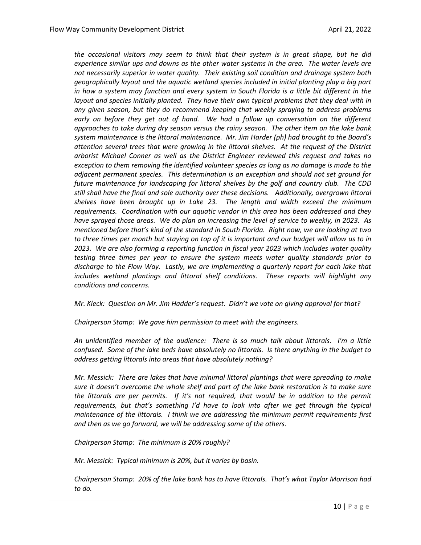*the occasional visitors may seem to think that their system is in great shape, but he did experience similar ups and downs as the other water systems in the area. The water levels are not necessarily superior in water quality. Their existing soil condition and drainage system both geographically layout and the aquatic wetland species included in initial planting play a big part in how a system may function and every system in South Florida is a little bit different in the layout and species initially planted. They have their own typical problems that they deal with in any given season, but they do recommend keeping that weekly spraying to address problems*  early on before they get out of hand. We had a follow up conversation on the different *approaches to take during dry season versus the rainy season. The other item on the lake bank system maintenance is the littoral maintenance. Mr. Jim Harder (ph) had brought to the Board's attention several trees that were growing in the littoral shelves. At the request of the District arborist Michael Conner as well as the District Engineer reviewed this request and takes no exception to them removing the identified volunteer species as long as no damage is made to the adjacent permanent species. This determination is an exception and should not set ground for future maintenance for landscaping for littoral shelves by the golf and country club. The CDD still shall have the final and sole authority over these decisions. Additionally, overgrown littoral shelves have been brought up in Lake 23. The length and width exceed the minimum requirements. Coordination with our aquatic vendor in this area has been addressed and they have sprayed those areas. We do plan on increasing the level of service to weekly, in 2023. As mentioned before that's kind of the standard in South Florida. Right now, we are looking at two to three times per month but staying on top of it is important and our budget will allow us to in 2023. We are also forming a reporting function in fiscal year 2023 which includes water quality testing three times per year to ensure the system meets water quality standards prior to discharge to the Flow Way. Lastly, we are implementing a quarterly report for each lake that includes wetland plantings and littoral shelf conditions. These reports will highlight any conditions and concerns.* 

*Mr. Kleck: Question on Mr. Jim Hadder's request. Didn't we vote on giving approval for that?* 

*Chairperson Stamp: We gave him permission to meet with the engineers.* 

*An unidentified member of the audience: There is so much talk about littorals. I'm a little confused. Some of the lake beds have absolutely no littorals. Is there anything in the budget to address getting littorals into areas that have absolutely nothing?* 

*Mr. Messick: There are lakes that have minimal littoral plantings that were spreading to make sure it doesn't overcome the whole shelf and part of the lake bank restoration is to make sure the littorals are per permits. If it's not required, that would be in addition to the permit requirements, but that's something I'd have to look into after we get through the typical maintenance of the littorals. I think we are addressing the minimum permit requirements first and then as we go forward, we will be addressing some of the others.* 

*Chairperson Stamp: The minimum is 20% roughly?*

*Mr. Messick: Typical minimum is 20%, but it varies by basin.* 

*Chairperson Stamp: 20% of the lake bank has to have littorals. That's what Taylor Morrison had to do.*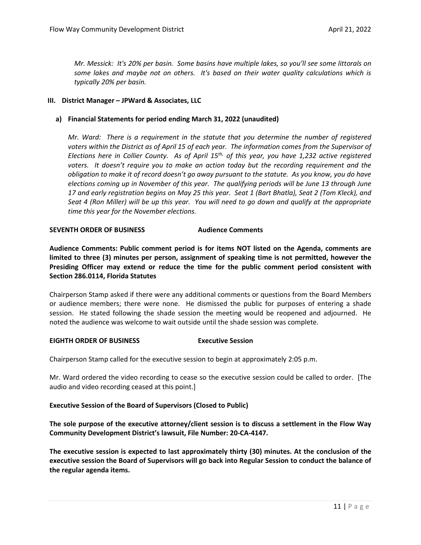*Mr. Messick: It's 20% per basin. Some basins have multiple lakes, so you'll see some littorals on some lakes and maybe not on others. It's based on their water quality calculations which is typically 20% per basin.* 

## **III. District Manager – JPWard & Associates, LLC**

## **a) Financial Statements for period ending March 31, 2022 (unaudited)**

*Mr. Ward: There is a requirement in the statute that you determine the number of registered voters within the District as of April 15 of each year. The information comes from the Supervisor of Elections here in Collier County. As of April 15th, of this year, you have 1,232 active registered voters. It doesn't require you to make an action today but the recording requirement and the obligation to make it of record doesn't go away pursuant to the statute. As you know, you do have elections coming up in November of this year. The qualifying periods will be June 13 through June 17 and early registration begins on May 25 this year. Seat 1 (Bart Bhatla), Seat 2 (Tom Kleck), and Seat 4 (Ron Miller) will be up this year. You will need to go down and qualify at the appropriate time this year for the November elections.* 

## **SEVENTH ORDER OF BUSINESS Audience Comments**

**Audience Comments: Public comment period is for items NOT listed on the Agenda, comments are limited to three (3) minutes per person, assignment of speaking time is not permitted, however the Presiding Officer may extend or reduce the time for the public comment period consistent with Section 286.0114, Florida Statutes**

Chairperson Stamp asked if there were any additional comments or questions from the Board Members or audience members; there were none. He dismissed the public for purposes of entering a shade session. He stated following the shade session the meeting would be reopened and adjourned. He noted the audience was welcome to wait outside until the shade session was complete.

### **EIGHTH ORDER OF BUSINESS Executive Session**

Chairperson Stamp called for the executive session to begin at approximately 2:05 p.m.

Mr. Ward ordered the video recording to cease so the executive session could be called to order. [The audio and video recording ceased at this point.]

### **Executive Session of the Board of Supervisors (Closed to Public)**

**The sole purpose of the executive attorney/client session is to discuss a settlement in the Flow Way Community Development District's lawsuit, File Number: 20-CA-4147.**

**The executive session is expected to last approximately thirty (30) minutes. At the conclusion of the executive session the Board of Supervisors will go back into Regular Session to conduct the balance of the regular agenda items.**